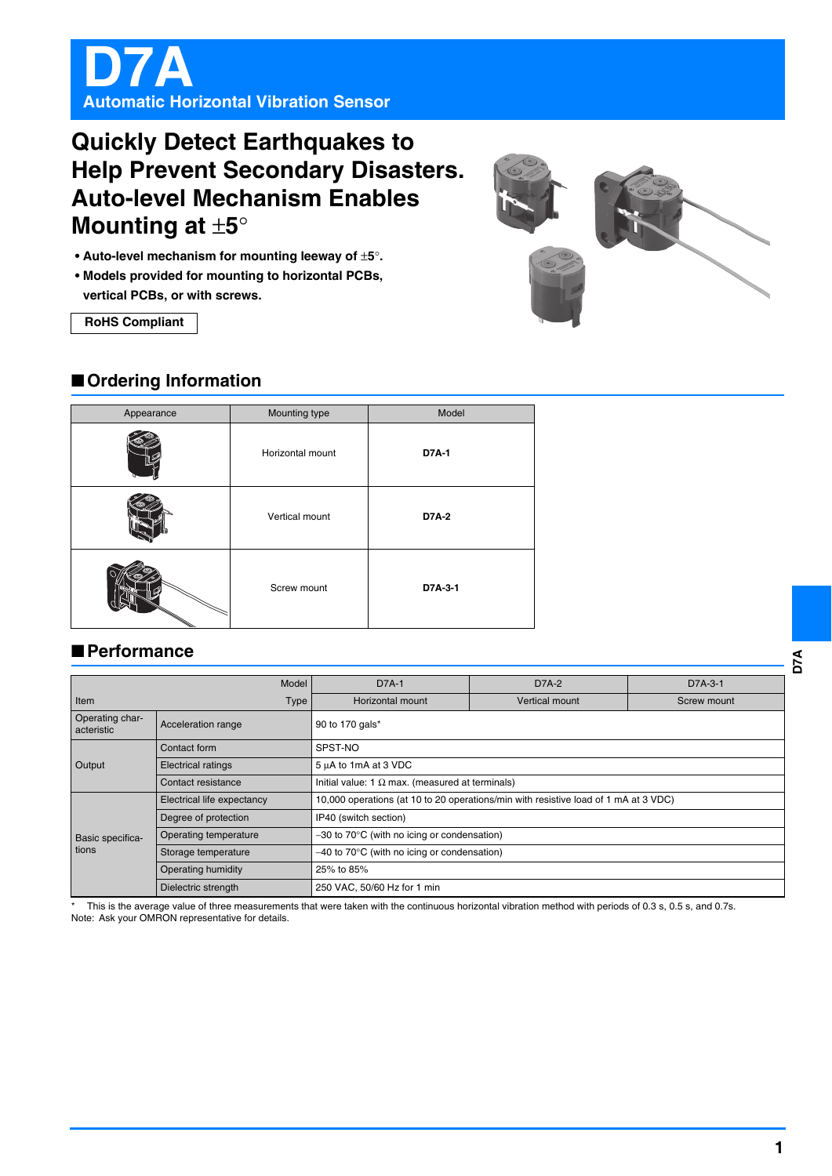

# **Quickly Detect Earthquakes to Help Prevent Secondary Disasters. Auto-level Mechanism Enables Mounting at** ±**5**°

- **Auto-level mechanism for mounting leeway of** ±**5**°**.**
- **Models provided for mounting to horizontal PCBs,**

**vertical PCBs, or with screws.**

**RoHS Compliant**



| Appearance | Mounting type    | Model        |
|------------|------------------|--------------|
|            | Horizontal mount | <b>D7A-1</b> |
|            | Vertical mount   | <b>D7A-2</b> |
|            | Screw mount      | D7A-3-1      |

# ■**Performance**

| Model                         |                            | <b>D7A-1</b>                                                                        | D7A-2                 | $D7A-3-1$   |  |
|-------------------------------|----------------------------|-------------------------------------------------------------------------------------|-----------------------|-------------|--|
| Item<br>Type                  |                            | Horizontal mount                                                                    | <b>Vertical mount</b> | Screw mount |  |
| Operating char-<br>acteristic | Acceleration range         | 90 to 170 gals*                                                                     |                       |             |  |
| Output                        | Contact form               | SPST-NO                                                                             |                       |             |  |
|                               | <b>Electrical ratings</b>  | 5 µA to 1mA at 3 VDC                                                                |                       |             |  |
|                               | Contact resistance         | Initial value: 1 $\Omega$ max. (measured at terminals)                              |                       |             |  |
| Basic specifica-<br>tions     | Electrical life expectancy | 10,000 operations (at 10 to 20 operations/min with resistive load of 1 mA at 3 VDC) |                       |             |  |
|                               | Degree of protection       | IP40 (switch section)                                                               |                       |             |  |
|                               | Operating temperature      | $-30$ to 70 $\degree$ C (with no icing or condensation)                             |                       |             |  |
|                               | Storage temperature        | $-40$ to 70 $\degree$ C (with no icing or condensation)                             |                       |             |  |
|                               | Operating humidity         | 25% to 85%                                                                          |                       |             |  |
|                               | Dielectric strength        | 250 VAC, 50/60 Hz for 1 min                                                         |                       |             |  |

This is the average value of three measurements that were taken with the continuous horizontal vibration method with periods of 0.3 s, 0.5 s, and 0.7s. Note: Ask your OMRON representative for details.

**D7A**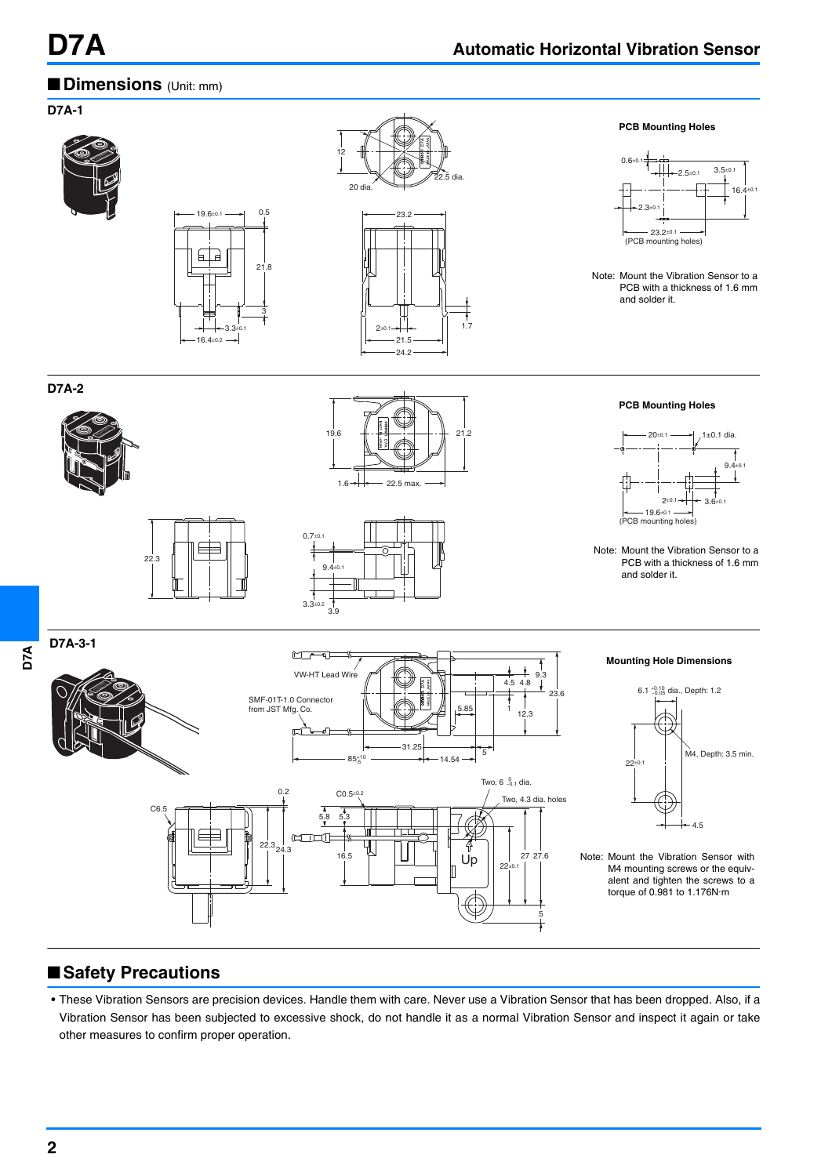### ■**Dimensions** (Unit: mm)



# ■**Safety Precautions**

• These Vibration Sensors are precision devices. Handle them with care. Never use a Vibration Sensor that has been dropped. Also, if a Vibration Sensor has been subjected to excessive shock, do not handle it as a normal Vibration Sensor and inspect it again or take other measures to confirm proper operation.

**D7A**